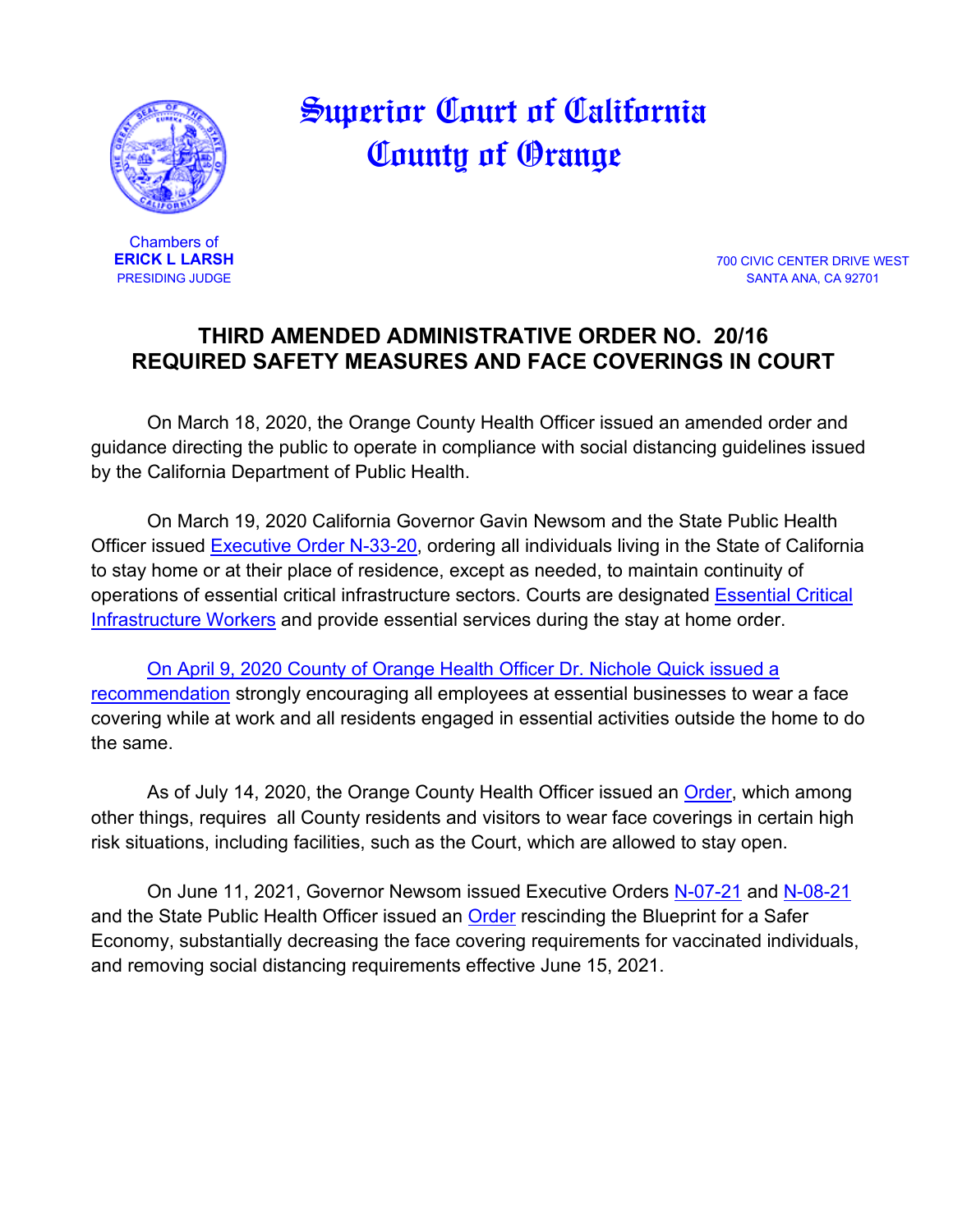

## Superior Court of California County of Orange

Chambers of<br>**ERICK L LARSH** 

**ERICK L LARSH** 700 CIVIC CENTER DRIVE WEST SANTA ANA, CA 92701

## **THIRD AMENDED ADMINISTRATIVE ORDER NO. 20/16 REQUIRED SAFETY MEASURES AND FACE COVERINGS IN COURT**

On March 18, 2020, the Orange County Health Officer issued an amended order and guidance directing the public to operate in compliance with social distancing guidelines issued by the California Department of Public Health.

On March 19, 2020 California Governor Gavin Newsom and the State Public Health Officer issued [Executive Order N-33-20,](https://www.gov.ca.gov/wp-content/uploads/2020/03/3.19.20-attested-EO-N-33-20-COVID-19-HEALTH-ORDER.pdf) ordering all individuals living in the State of California to stay home or at their place of residence, except as needed, to maintain continuity of operations of essential critical infrastructure sectors. Courts are designated [Essential Critical](https://covid19.ca.gov/img/EssentialCriticalInfrastructureWorkers.pdf)  [Infrastructure Workers](https://covid19.ca.gov/img/EssentialCriticalInfrastructureWorkers.pdf) and provide essential services during the stay at home order.

[On April 9, 2020 County of Orange Health Officer Dr. Nichole Quick issued a](https://cms.ocgov.com/civicax/filebank/blobdload.aspx?BlobID=115088)  [recommendation](https://cms.ocgov.com/civicax/filebank/blobdload.aspx?BlobID=115088) strongly encouraging all employees at essential businesses to wear a face covering while at work and all residents engaged in essential activities outside the home to do the same.

As of July 14, 2020, the Orange County Health Officer issued an [Order,](https://occovid19.ochealthinfo.com/article/oc-health-officers-orders-recommendations) which among other things, requires all County residents and visitors to wear face coverings in certain high risk situations, including facilities, such as the Court, which are allowed to stay open.

On June 11, 2021, Governor Newsom issued Executive Orders [N-07-21](https://www.gov.ca.gov/wp-content/uploads/2021/06/6.11.21-EO-N-07-21-signed.pdf) and [N-08-21](https://www.gov.ca.gov/wp-content/uploads/2021/06/6.11.21-EO-N-08-21-signed.pdf) and the State Public Health Officer issued an [Order](https://www.cdph.ca.gov/Programs/CID/DCDC/Pages/COVID-19/Order-of-the-State-Public-Health-Officer-Beyond-Blueprint.aspx) rescinding the Blueprint for a Safer Economy, substantially decreasing the face covering requirements for vaccinated individuals, and removing social distancing requirements effective June 15, 2021.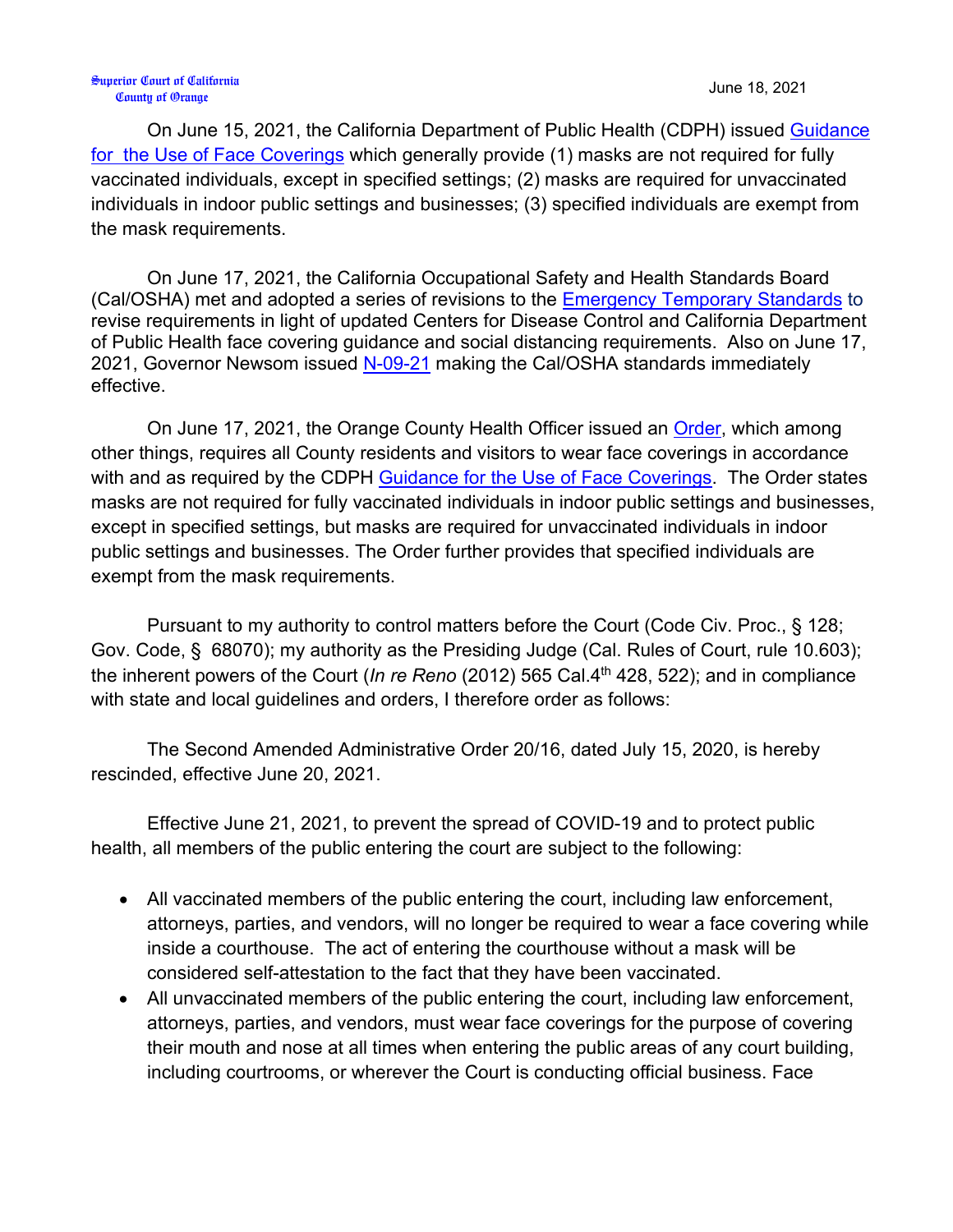## Superior Court of California County of Orange June 18, 2021

On June 15, 2021, the California Department of Public Health (CDPH) issued [Guidance](https://www.cdph.ca.gov/Programs/CID/DCDC/Pages/COVID-19/guidance-for-face-coverings.aspx)  [for the Use of Face Coverings](https://www.cdph.ca.gov/Programs/CID/DCDC/Pages/COVID-19/guidance-for-face-coverings.aspx) which generally provide (1) masks are not required for fully vaccinated individuals, except in specified settings; (2) masks are required for unvaccinated individuals in indoor public settings and businesses; (3) specified individuals are exempt from the mask requirements.

On June 17, 2021, the California Occupational Safety and Health Standards Board (Cal/OSHA) met and adopted a series of revisions to the [Emergency Temporary Standards](https://www.dir.ca.gov/oshsb/documents/Jun172021-COVID-19-Prevention-Emergency-txtcourtesy-Readoption.pdf) to revise requirements in light of updated Centers for Disease Control and California Department of Public Health face covering guidance and social distancing requirements. Also on June 17, 2021, Governor Newsom issued [N-09-21](https://www.gov.ca.gov/wp-content/uploads/2021/06/6.17.21-ETS-EO-N-09-21.pdf) making the Cal/OSHA standards immediately effective.

On June 17, 2021, the Orange County Health Officer issued an [Order,](https://occovid19.ochealthinfo.com/article/oc-health-officers-orders-recommendations) which among other things, requires all County residents and visitors to wear face coverings in accordance with and as required by the CDPH [Guidance for the Use of Face Coverings.](https://www.cdph.ca.gov/Programs/CID/DCDC/Pages/COVID-19/guidance-for-face-coverings.aspx) The Order states masks are not required for fully vaccinated individuals in indoor public settings and businesses, except in specified settings, but masks are required for unvaccinated individuals in indoor public settings and businesses. The Order further provides that specified individuals are exempt from the mask requirements.

Pursuant to my authority to control matters before the Court (Code Civ. Proc., § 128; Gov. Code, § 68070); my authority as the Presiding Judge (Cal. Rules of Court, rule 10.603); the inherent powers of the Court (*In re Reno* (2012) 565 Cal.4<sup>th</sup> 428, 522); and in compliance with state and local guidelines and orders, I therefore order as follows:

The Second Amended Administrative Order 20/16, dated July 15, 2020, is hereby rescinded, effective June 20, 2021.

Effective June 21, 2021, to prevent the spread of COVID-19 and to protect public health, all members of the public entering the court are subject to the following:

- All vaccinated members of the public entering the court, including law enforcement, attorneys, parties, and vendors, will no longer be required to wear a face covering while inside a courthouse. The act of entering the courthouse without a mask will be considered self-attestation to the fact that they have been vaccinated.
- All unvaccinated members of the public entering the court, including law enforcement, attorneys, parties, and vendors, must wear face coverings for the purpose of covering their mouth and nose at all times when entering the public areas of any court building, including courtrooms, or wherever the Court is conducting official business. Face